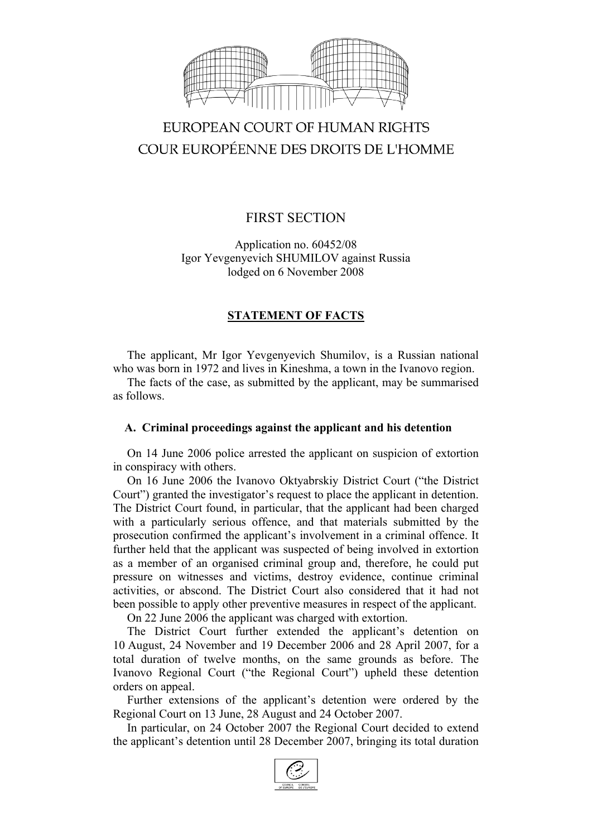

# EUROPEAN COURT OF HUMAN RIGHTS COUR EUROPÉENNE DES DROITS DE L'HOMME

# FIRST SECTION

Application no. 60452/08 Igor Yevgenyevich SHUMILOV against Russia lodged on 6 November 2008

# **STATEMENT OF FACTS**

The applicant, Mr Igor Yevgenyevich Shumilov, is a Russian national who was born in 1972 and lives in Kineshma, a town in the Ivanovo region.

The facts of the case, as submitted by the applicant, may be summarised as follows.

## **A. Criminal proceedings against the applicant and his detention**

On 14 June 2006 police arrested the applicant on suspicion of extortion in conspiracy with others.

On 16 June 2006 the Ivanovo Oktyabrskiy District Court ("the District Court") granted the investigator's request to place the applicant in detention. The District Court found, in particular, that the applicant had been charged with a particularly serious offence, and that materials submitted by the prosecution confirmed the applicant's involvement in a criminal offence. It further held that the applicant was suspected of being involved in extortion as a member of an organised criminal group and, therefore, he could put pressure on witnesses and victims, destroy evidence, continue criminal activities, or abscond. The District Court also considered that it had not been possible to apply other preventive measures in respect of the applicant.

On 22 June 2006 the applicant was charged with extortion.

The District Court further extended the applicant's detention on 10 August, 24 November and 19 December 2006 and 28 April 2007, for a total duration of twelve months, on the same grounds as before. The Ivanovo Regional Court ("the Regional Court") upheld these detention orders on appeal.

Further extensions of the applicant's detention were ordered by the Regional Court on 13 June, 28 August and 24 October 2007.

In particular, on 24 October 2007 the Regional Court decided to extend the applicant's detention until 28 December 2007, bringing its total duration

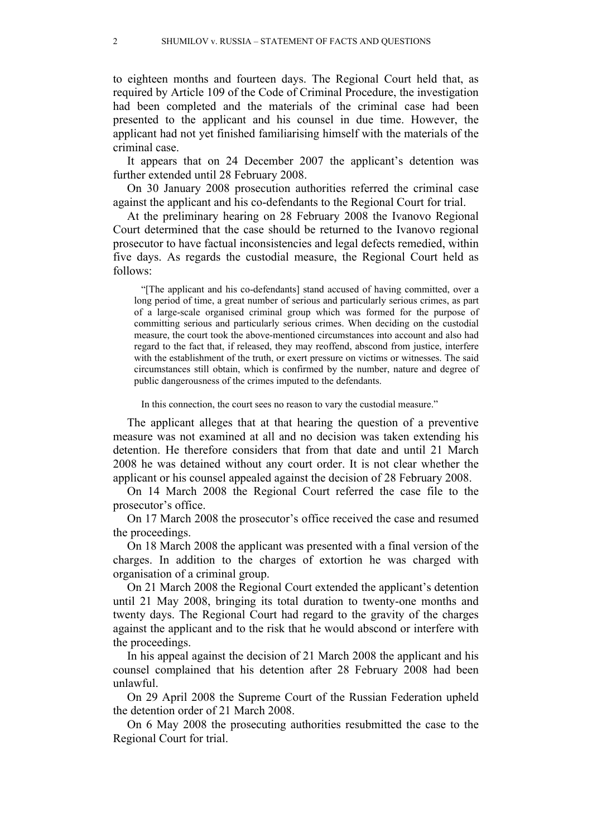to eighteen months and fourteen days. The Regional Court held that, as required by Article 109 of the Code of Criminal Procedure, the investigation had been completed and the materials of the criminal case had been presented to the applicant and his counsel in due time. However, the applicant had not yet finished familiarising himself with the materials of the criminal case.

It appears that on 24 December 2007 the applicant's detention was further extended until 28 February 2008.

On 30 January 2008 prosecution authorities referred the criminal case against the applicant and his co-defendants to the Regional Court for trial.

At the preliminary hearing on 28 February 2008 the Ivanovo Regional Court determined that the case should be returned to the Ivanovo regional prosecutor to have factual inconsistencies and legal defects remedied, within five days. As regards the custodial measure, the Regional Court held as follows:

"[The applicant and his co-defendants] stand accused of having committed, over a long period of time, a great number of serious and particularly serious crimes, as part of a large-scale organised criminal group which was formed for the purpose of committing serious and particularly serious crimes. When deciding on the custodial measure, the court took the above-mentioned circumstances into account and also had regard to the fact that, if released, they may reoffend, abscond from justice, interfere with the establishment of the truth, or exert pressure on victims or witnesses. The said circumstances still obtain, which is confirmed by the number, nature and degree of public dangerousness of the crimes imputed to the defendants.

In this connection, the court sees no reason to vary the custodial measure."

The applicant alleges that at that hearing the question of a preventive measure was not examined at all and no decision was taken extending his detention. He therefore considers that from that date and until 21 March 2008 he was detained without any court order. It is not clear whether the applicant or his counsel appealed against the decision of 28 February 2008.

On 14 March 2008 the Regional Court referred the case file to the prosecutor's office.

On 17 March 2008 the prosecutor's office received the case and resumed the proceedings.

On 18 March 2008 the applicant was presented with a final version of the charges. In addition to the charges of extortion he was charged with organisation of a criminal group.

On 21 March 2008 the Regional Court extended the applicant's detention until 21 May 2008, bringing its total duration to twenty-one months and twenty days. The Regional Court had regard to the gravity of the charges against the applicant and to the risk that he would abscond or interfere with the proceedings.

In his appeal against the decision of 21 March 2008 the applicant and his counsel complained that his detention after 28 February 2008 had been unlawful.

On 29 April 2008 the Supreme Court of the Russian Federation upheld the detention order of 21 March 2008.

On 6 May 2008 the prosecuting authorities resubmitted the case to the Regional Court for trial.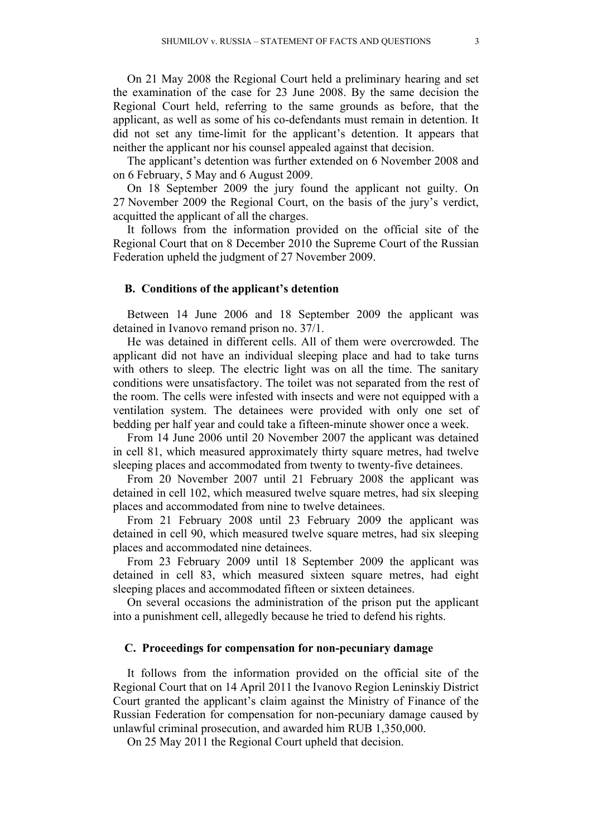On 21 May 2008 the Regional Court held a preliminary hearing and set the examination of the case for 23 June 2008. By the same decision the Regional Court held, referring to the same grounds as before, that the applicant, as well as some of his co-defendants must remain in detention. It did not set any time-limit for the applicant's detention. It appears that neither the applicant nor his counsel appealed against that decision.

The applicant's detention was further extended on 6 November 2008 and on 6 February, 5 May and 6 August 2009.

On 18 September 2009 the jury found the applicant not guilty. On 27 November 2009 the Regional Court, on the basis of the jury's verdict, acquitted the applicant of all the charges.

It follows from the information provided on the official site of the Regional Court that on 8 December 2010 the Supreme Court of the Russian Federation upheld the judgment of 27 November 2009.

#### **B. Conditions of the applicant's detention**

Between 14 June 2006 and 18 September 2009 the applicant was detained in Ivanovo remand prison no. 37/1.

He was detained in different cells. All of them were overcrowded. The applicant did not have an individual sleeping place and had to take turns with others to sleep. The electric light was on all the time. The sanitary conditions were unsatisfactory. The toilet was not separated from the rest of the room. The cells were infested with insects and were not equipped with a ventilation system. The detainees were provided with only one set of bedding per half year and could take a fifteen-minute shower once a week.

From 14 June 2006 until 20 November 2007 the applicant was detained in cell 81, which measured approximately thirty square metres, had twelve sleeping places and accommodated from twenty to twenty-five detainees.

From 20 November 2007 until 21 February 2008 the applicant was detained in cell 102, which measured twelve square metres, had six sleeping places and accommodated from nine to twelve detainees.

From 21 February 2008 until 23 February 2009 the applicant was detained in cell 90, which measured twelve square metres, had six sleeping places and accommodated nine detainees.

From 23 February 2009 until 18 September 2009 the applicant was detained in cell 83, which measured sixteen square metres, had eight sleeping places and accommodated fifteen or sixteen detainees.

On several occasions the administration of the prison put the applicant into a punishment cell, allegedly because he tried to defend his rights.

#### **C. Proceedings for compensation for non-pecuniary damage**

It follows from the information provided on the official site of the Regional Court that on 14 April 2011 the Ivanovo Region Leninskiy District Court granted the applicant's claim against the Ministry of Finance of the Russian Federation for compensation for non-pecuniary damage caused by unlawful criminal prosecution, and awarded him RUB 1,350,000.

On 25 May 2011 the Regional Court upheld that decision.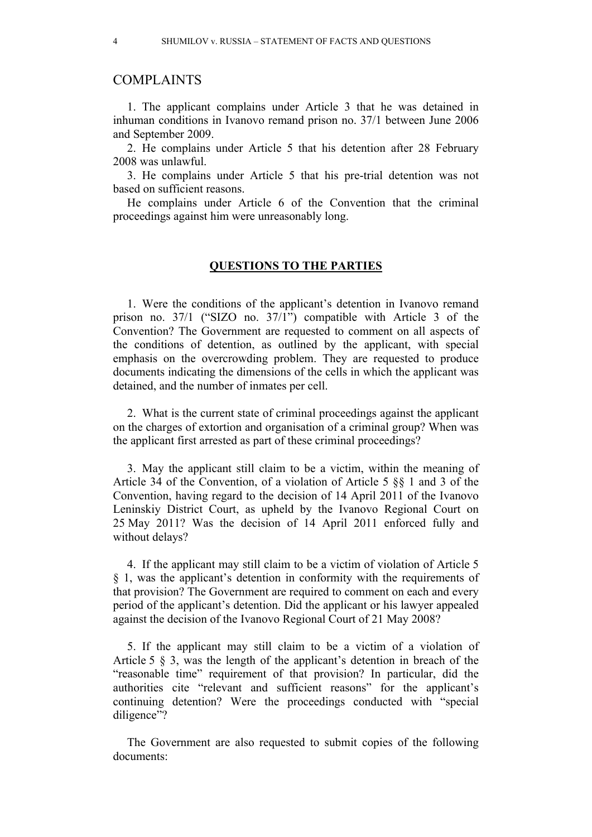## COMPLAINTS

1. The applicant complains under Article 3 that he was detained in inhuman conditions in Ivanovo remand prison no. 37/1 between June 2006 and September 2009.

2. He complains under Article 5 that his detention after 28 February 2008 was unlawful.

3. He complains under Article 5 that his pre-trial detention was not based on sufficient reasons.

He complains under Article 6 of the Convention that the criminal proceedings against him were unreasonably long.

### **QUESTIONS TO THE PARTIES**

1. Were the conditions of the applicant's detention in Ivanovo remand prison no. 37/1 ("SIZO no. 37/1") compatible with Article 3 of the Convention? The Government are requested to comment on all aspects of the conditions of detention, as outlined by the applicant, with special emphasis on the overcrowding problem. They are requested to produce documents indicating the dimensions of the cells in which the applicant was detained, and the number of inmates per cell.

2. What is the current state of criminal proceedings against the applicant on the charges of extortion and organisation of a criminal group? When was the applicant first arrested as part of these criminal proceedings?

3. May the applicant still claim to be a victim, within the meaning of Article 34 of the Convention, of a violation of Article 5 §§ 1 and 3 of the Convention, having regard to the decision of 14 April 2011 of the Ivanovo Leninskiy District Court, as upheld by the Ivanovo Regional Court on 25 May 2011? Was the decision of 14 April 2011 enforced fully and without delays?

4. If the applicant may still claim to be a victim of violation of Article 5 § 1, was the applicant's detention in conformity with the requirements of that provision? The Government are required to comment on each and every period of the applicant's detention. Did the applicant or his lawyer appealed against the decision of the Ivanovo Regional Court of 21 May 2008?

5. If the applicant may still claim to be a victim of a violation of Article 5 § 3, was the length of the applicant's detention in breach of the "reasonable time" requirement of that provision? In particular, did the authorities cite "relevant and sufficient reasons" for the applicant's continuing detention? Were the proceedings conducted with "special diligence"?

The Government are also requested to submit copies of the following documents: